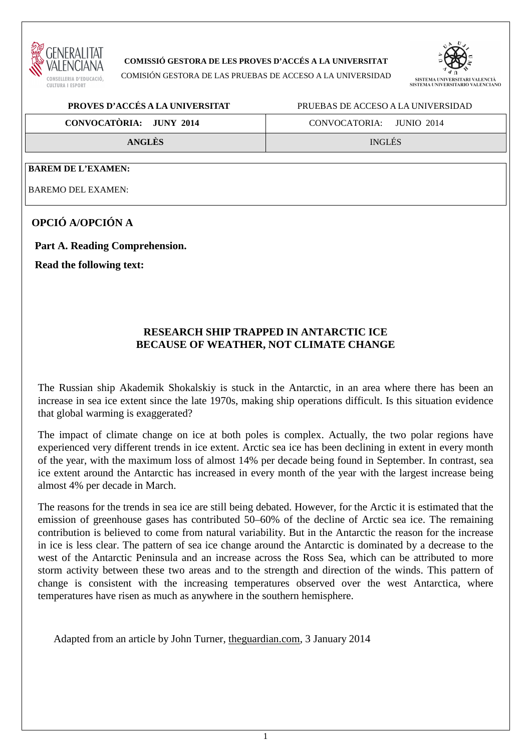

### **COMISSIÓ GESTORA DE LES PROVES D'ACCÉS A LA UNIVERSITAT**

COMISIÓN GESTORA DE LAS PRUEBAS DE ACCESO A LA UNIVERSIDAD



### **PROVES D'ACCÉS A LA UNIVERSITAT** PRUEBAS DE ACCESO A LA UNIVERSIDAD

| <b>CONVOCATÓRIA: JUNY 2014</b> | CONVOCATORIA: JUNIO 2014 |  |
|--------------------------------|--------------------------|--|
|--------------------------------|--------------------------|--|

**ANGLÈS** INGLÉS

#### **BAREM DE L'EXAMEN:**

BAREMO DEL EXAMEN:

# **OPCIÓ A/OPCIÓN A**

**Part A. Reading Comprehension.** 

**Read the following text:** 

# **RESEARCH SHIP TRAPPED IN ANTARCTIC ICE BECAUSE OF WEATHER, NOT CLIMATE CHANGE**

The Russian ship Akademik Shokalskiy is stuck in the Antarctic, in an area where there has been an increase in sea ice extent since the late 1970s, making ship operations difficult. Is this situation evidence that global warming is exaggerated?

The impact of climate change on ice at both poles is complex. Actually, the two polar regions have experienced very different trends in ice extent. Arctic sea ice has been declining in extent in every month of the year, with the maximum loss of almost 14% per decade being found in September. In contrast, sea ice extent around the Antarctic has increased in every month of the year with the largest increase being almost 4% per decade in March.

The reasons for the trends in sea ice are still being debated. However, for the Arctic it is estimated that the emission of greenhouse gases has contributed 50–60% of the decline of Arctic sea ice. The remaining contribution is believed to come from natural variability. But in the Antarctic the reason for the increase in ice is less clear. The pattern of sea ice change around the Antarctic is dominated by a decrease to the west of the Antarctic Peninsula and an increase across the Ross Sea, which can be attributed to more storm activity between these two areas and to the strength and direction of the winds. This pattern of change is consistent with the increasing temperatures observed over the west Antarctica, where temperatures have risen as much as anywhere in the southern hemisphere.

Adapted from an article by John Turner, theguardian.com, 3 January 2014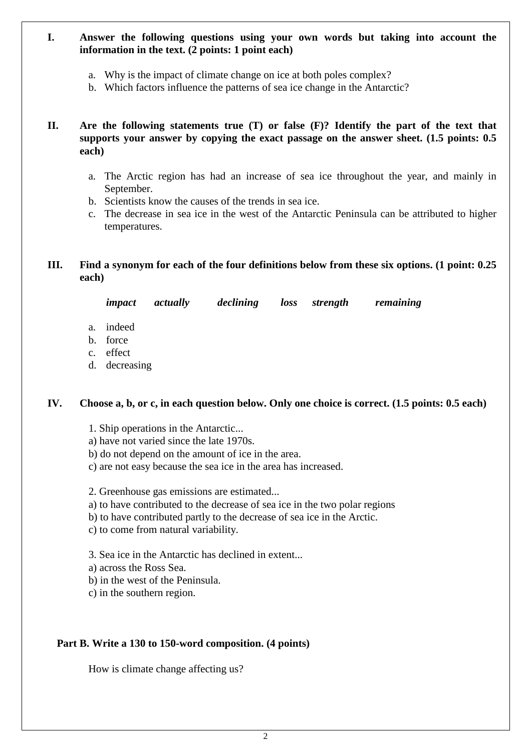### **I. Answer the following questions using your own words but taking into account the information in the text. (2 points: 1 point each)**

- a. Why is the impact of climate change on ice at both poles complex?
- b. Which factors influence the patterns of sea ice change in the Antarctic?
- **II. Are the following statements true (T) or false (F)? Identify the part of the text that supports your answer by copying the exact passage on the answer sheet. (1.5 points: 0.5 each)** 
	- a. The Arctic region has had an increase of sea ice throughout the year, and mainly in September.
	- b. Scientists know the causes of the trends in sea ice.
	- c. The decrease in sea ice in the west of the Antarctic Peninsula can be attributed to higher temperatures.
- **III. Find a synonym for each of the four definitions below from these six options. (1 point: 0.25 each)**

*impact actually declining loss strength remaining* 

- a. indeed
- b. force
- c. effect
- d. decreasing

### **IV. Choose a, b, or c, in each question below. Only one choice is correct. (1.5 points: 0.5 each)**

- 1. Ship operations in the Antarctic...
- a) have not varied since the late 1970s.
- b) do not depend on the amount of ice in the area.
- c) are not easy because the sea ice in the area has increased.
- 2. Greenhouse gas emissions are estimated...
- a) to have contributed to the decrease of sea ice in the two polar regions
- b) to have contributed partly to the decrease of sea ice in the Arctic.
- c) to come from natural variability.
- 3. Sea ice in the Antarctic has declined in extent...
- a) across the Ross Sea.
- b) in the west of the Peninsula.
- c) in the southern region.

### **Part B. Write a 130 to 150-word composition. (4 points)**

How is climate change affecting us?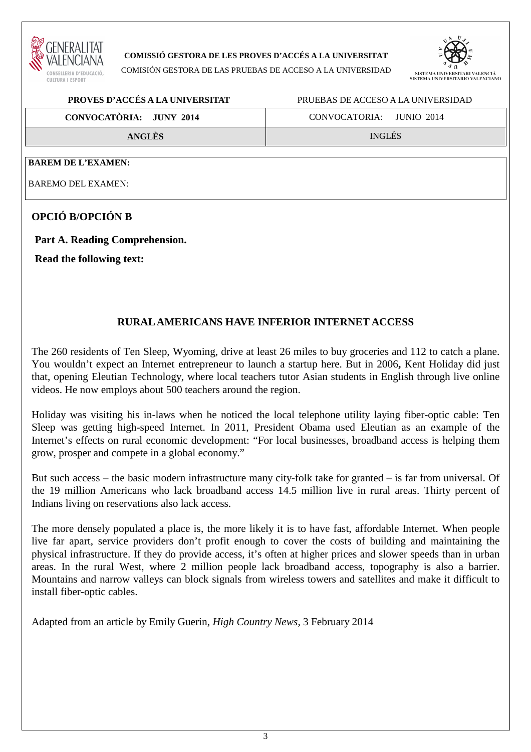

#### **COMISSIÓ GESTORA DE LES PROVES D'ACCÉS A LA UNIVERSITAT**

COMISIÓN GESTORA DE LAS PRUEBAS DE ACCESO A LA UNIVERSIDAD



### **PROVES D'ACCÉS A LA UNIVERSITAT** PRUEBAS DE ACCESO A LA UNIVERSIDAD

| CONVOCATÒRIA: JUNY 2014 | CONVOCATORIA: JUNIO 2014 |
|-------------------------|--------------------------|
| <b>ANGLES</b>           | <b>INGLÉS</b>            |

#### **BAREM DE L'EXAMEN:**

BAREMO DEL EXAMEN:

# **OPCIÓ B/OPCIÓN B**

### **Part A. Reading Comprehension.**

**Read the following text:** 

### **RURAL AMERICANS HAVE INFERIOR INTERNET ACCESS**

The 260 residents of Ten Sleep, Wyoming, drive at least 26 miles to buy groceries and 112 to catch a plane. You wouldn't expect an Internet entrepreneur to launch a startup here. But in 2006**,** Kent Holiday did just that, opening Eleutian Technology, where local teachers tutor Asian students in English through live online videos. He now employs about 500 teachers around the region.

Holiday was visiting his in-laws when he noticed the local telephone utility laying fiber-optic cable: Ten Sleep was getting high-speed Internet. In 2011, President Obama used Eleutian as an example of the Internet's effects on rural economic development: "For local businesses, broadband access is helping them grow, prosper and compete in a global economy."

But such access – the basic modern infrastructure many city-folk take for granted – is far from universal. Of the 19 million Americans who lack broadband access 14.5 million live in rural areas. Thirty percent of Indians living on reservations also lack access.

The more densely populated a place is, the more likely it is to have fast, affordable Internet. When people live far apart, service providers don't profit enough to cover the costs of building and maintaining the physical infrastructure. If they do provide access, it's often at higher prices and slower speeds than in urban areas. In the rural West, where 2 million people lack broadband access, topography is also a barrier. Mountains and narrow valleys can block signals from wireless towers and satellites and make it difficult to install fiber-optic cables.

Adapted from an article by Emily Guerin, *High Country News*, 3 February 2014